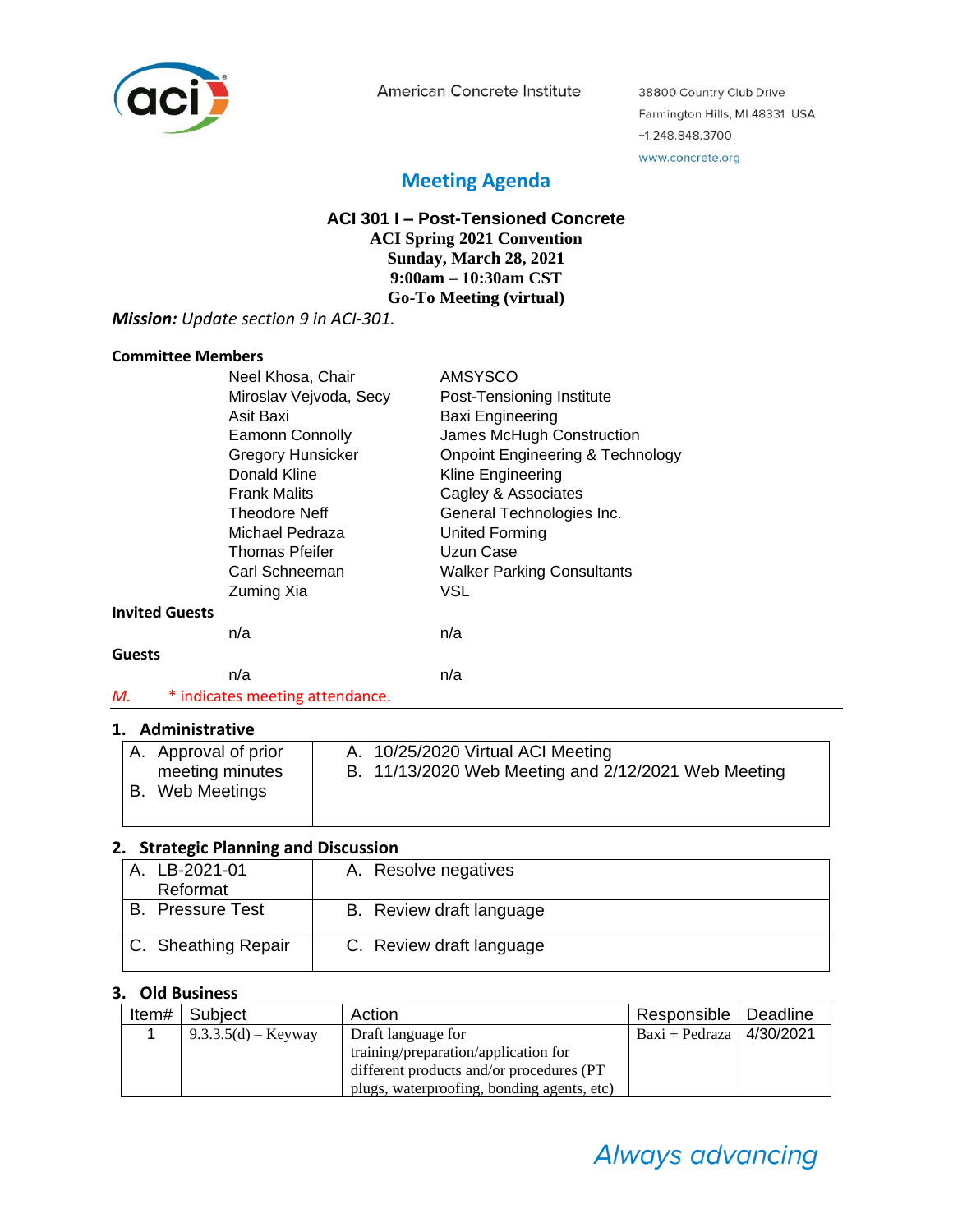

American Concrete Institute

38800 Country Club Drive Farmington Hills, MI 48331 USA +1.248.848.3700 www.concrete.org

## **Meeting Agenda**

## **ACI 301 I – Post-Tensioned Concrete**

**ACI Spring 2021 Convention Sunday, March 28, 2021 9:00am – 10:30am CST Go-To Meeting (virtual)**

#### *Mission: Update section 9 in ACI-301.*

#### **Committee Members**

|                       | Neel Khosa, Chair               | <b>AMSYSCO</b>                              |  |
|-----------------------|---------------------------------|---------------------------------------------|--|
|                       | Miroslav Vejvoda, Secy          | Post-Tensioning Institute                   |  |
|                       | Asit Baxi                       | Baxi Engineering                            |  |
|                       | <b>Eamonn Connolly</b>          | James McHugh Construction                   |  |
|                       | <b>Gregory Hunsicker</b>        | <b>Onpoint Engineering &amp; Technology</b> |  |
|                       | Donald Kline                    | Kline Engineering                           |  |
|                       | <b>Frank Malits</b>             | Cagley & Associates                         |  |
|                       | Theodore Neff                   | General Technologies Inc.                   |  |
|                       | Michael Pedraza                 | <b>United Forming</b>                       |  |
|                       | Thomas Pfeifer                  | Uzun Case                                   |  |
|                       | Carl Schneeman                  | <b>Walker Parking Consultants</b>           |  |
|                       | Zuming Xia                      | VSL                                         |  |
| <b>Invited Guests</b> |                                 |                                             |  |
|                       | n/a                             | n/a                                         |  |
| <b>Guests</b>         |                                 |                                             |  |
|                       | n/a                             | n/a                                         |  |
| М.                    | * indicates meeting attendance. |                                             |  |

#### **1. Administrative**

| A. Approval of prior | A. 10/25/2020 Virtual ACI Meeting                   |  |  |
|----------------------|-----------------------------------------------------|--|--|
| meeting minutes      | B. 11/13/2020 Web Meeting and 2/12/2021 Web Meeting |  |  |
| B. Web Meetings      |                                                     |  |  |
|                      |                                                     |  |  |

## **2. Strategic Planning and Discussion**

| A. LB-2021-01<br>Reformat | A. Resolve negatives     |
|---------------------------|--------------------------|
| <b>B.</b> Pressure Test   | B. Review draft language |
| C. Sheathing Repair       | C. Review draft language |

## **3. Old Business**

| Item# | Subject               | Action                                     | Responsible   Deadline       |  |
|-------|-----------------------|--------------------------------------------|------------------------------|--|
|       | $9.3.3.5(d) -$ Keyway | Draft language for                         | Baxi + Pedraza   $4/30/2021$ |  |
|       |                       | training/preparation/application for       |                              |  |
|       |                       | different products and/or procedures (PT)  |                              |  |
|       |                       | plugs, waterproofing, bonding agents, etc) |                              |  |

# Always advancing